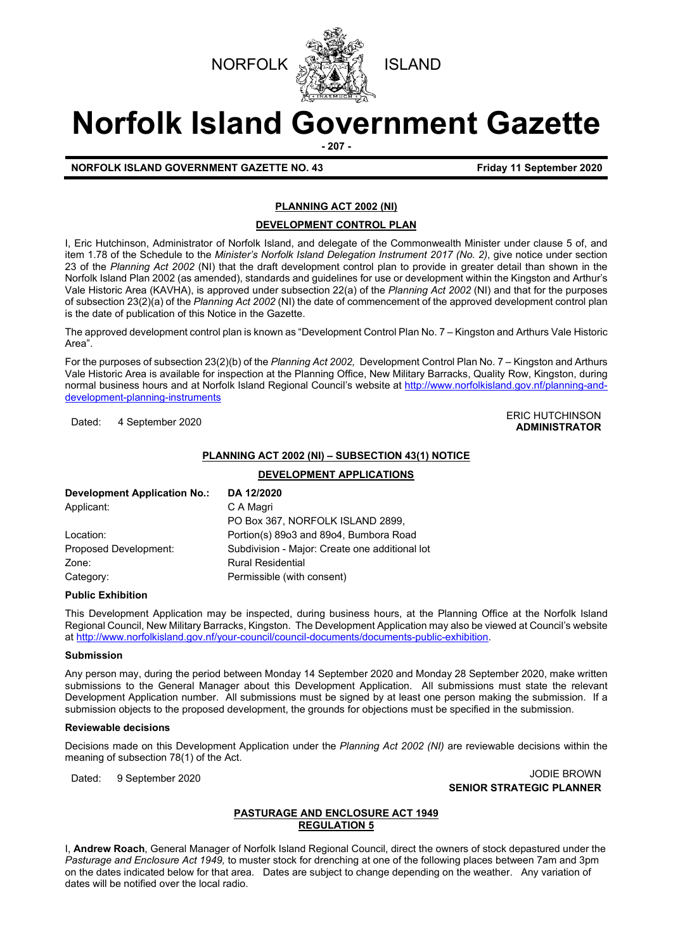



# **Norfolk Island Government Gazette**

**- 207 -**

**NORFOLK ISLAND GOVERNMENT GAZETTE NO. 43 Friday 11 September 2020**

### **PLANNING ACT 2002 (NI)**

#### **DEVELOPMENT CONTROL PLAN**

I, Eric Hutchinson, Administrator of Norfolk Island, and delegate of the Commonwealth Minister under clause 5 of, and item 1.78 of the Schedule to the *Minister's Norfolk Island Delegation Instrument 2017 (No. 2)*, give notice under section 23 of the *Planning Act 2002* (NI) that the draft development control plan to provide in greater detail than shown in the Norfolk Island Plan 2002 (as amended), standards and guidelines for use or development within the Kingston and Arthur's Vale Historic Area (KAVHA), is approved under subsection 22(a) of the *Planning Act 2002* (NI) and that for the purposes of subsection 23(2)(a) of the *Planning Act 2002* (NI) the date of commencement of the approved development control plan is the date of publication of this Notice in the Gazette.

The approved development control plan is known as "Development Control Plan No. 7 – Kingston and Arthurs Vale Historic Area".

For the purposes of subsection 23(2)(b) of the *Planning Act 2002,* Development Control Plan No. 7 – Kingston and Arthurs Vale Historic Area is available for inspection at the Planning Office, New Military Barracks, Quality Row, Kingston, during normal business hours and at Norfolk Island Regional Council's website at [http://www.norfolkisland.gov.nf/planning-and](http://www.norfolkisland.gov.nf/planning-and-development-planning-instruments)[development-planning-instruments](http://www.norfolkisland.gov.nf/planning-and-development-planning-instruments)

#### Dated: 4 September 2020<br>Dated: 4 September 2020 **ADMINISTRATOR**

#### **PLANNING ACT 2002 (NI) – SUBSECTION 43(1) NOTICE**

**DEVELOPMENT APPLICATIONS**

| <b>Development Application No.:</b> | DA 12/2020                                     |  |
|-------------------------------------|------------------------------------------------|--|
| Applicant:                          | C A Magri                                      |  |
|                                     | PO Box 367, NORFOLK ISLAND 2899,               |  |
| Location:                           | Portion(s) 89o3 and 89o4, Bumbora Road         |  |
| Proposed Development:               | Subdivision - Major: Create one additional lot |  |
| Zone:                               | <b>Rural Residential</b>                       |  |
| Category:                           | Permissible (with consent)                     |  |

#### **Public Exhibition**

This Development Application may be inspected, during business hours, at the Planning Office at the Norfolk Island Regional Council, New Military Barracks, Kingston. The Development Application may also be viewed at Council's website a[t http://www.norfolkisland.gov.nf/your-council/council-documents/documents-public-exhibition.](http://www.norfolkisland.gov.nf/your-council/council-documents/documents-public-exhibition)

#### **Submission**

Any person may, during the period between Monday 14 September 2020 and Monday 28 September 2020, make written submissions to the General Manager about this Development Application. All submissions must state the relevant Development Application number. All submissions must be signed by at least one person making the submission. If a submission objects to the proposed development, the grounds for objections must be specified in the submission.

#### **Reviewable decisions**

Decisions made on this Development Application under the *Planning Act 2002 (NI)* are reviewable decisions within the meaning of subsection 78(1) of the Act.

Dated: 9 September 2020 JODIE BROWN **SENIOR STRATEGIC PLANNER** 

#### **PASTURAGE AND ENCLOSURE ACT 1949 REGULATION 5**

I, **Andrew Roach**, General Manager of Norfolk Island Regional Council, direct the owners of stock depastured under the *Pasturage and Enclosure Act 1949,* to muster stock for drenching at one of the following places between 7am and 3pm on the dates indicated below for that area. Dates are subject to change depending on the weather. Any variation of dates will be notified over the local radio.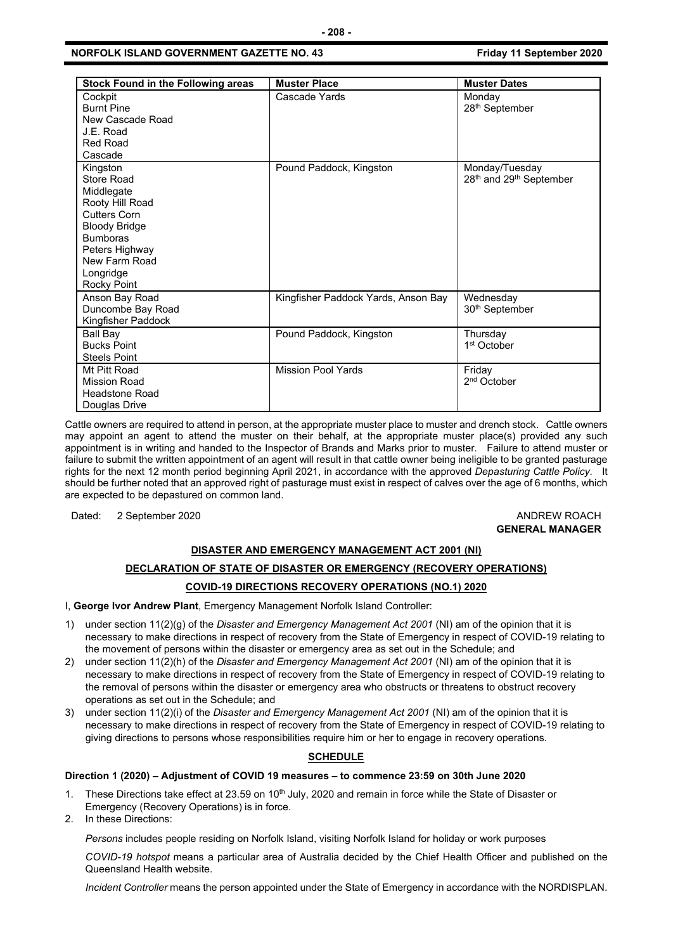#### **NORFOLK ISLAND GOVERNMENT GAZETTE NO. 43 Friday 11 September 2020**

| Stock Found in the Following areas                                                                                                                                                       | <b>Muster Place</b>                 | <b>Muster Dates</b>                                               |
|------------------------------------------------------------------------------------------------------------------------------------------------------------------------------------------|-------------------------------------|-------------------------------------------------------------------|
| Cockpit<br><b>Burnt Pine</b><br>New Cascade Road<br>J.F. Road<br><b>Red Road</b><br>Cascade                                                                                              | Cascade Yards                       | Mondav<br>28 <sup>th</sup> September                              |
| Kingston<br>Store Road<br>Middlegate<br>Rooty Hill Road<br><b>Cutters Corn</b><br><b>Bloody Bridge</b><br><b>Bumboras</b><br>Peters Highway<br>New Farm Road<br>Longridge<br>Rocky Point | Pound Paddock, Kingston             | Monday/Tuesday<br>28 <sup>th</sup> and 29 <sup>th</sup> September |
| Anson Bay Road<br>Duncombe Bay Road<br>Kingfisher Paddock                                                                                                                                | Kingfisher Paddock Yards, Anson Bay | Wednesday<br>30 <sup>th</sup> September                           |
| <b>Ball Bay</b><br><b>Bucks Point</b><br><b>Steels Point</b>                                                                                                                             | Pound Paddock, Kingston             | Thursday<br>1 <sup>st</sup> October                               |
| Mt Pitt Road<br><b>Mission Road</b><br><b>Headstone Road</b><br>Douglas Drive                                                                                                            | <b>Mission Pool Yards</b>           | Friday<br>2 <sup>nd</sup> October                                 |

Cattle owners are required to attend in person, at the appropriate muster place to muster and drench stock. Cattle owners may appoint an agent to attend the muster on their behalf, at the appropriate muster place(s) provided any such appointment is in writing and handed to the Inspector of Brands and Marks prior to muster. Failure to attend muster or failure to submit the written appointment of an agent will result in that cattle owner being ineligible to be granted pasturage rights for the next 12 month period beginning April 2021, in accordance with the approved *Depasturing Cattle Policy.* It should be further noted that an approved right of pasturage must exist in respect of calves over the age of 6 months, which are expected to be depastured on common land.

Dated: 2 September 2020 **ANDREW ROACH** 

## **GENERAL MANAGER**

#### **DISASTER AND EMERGENCY MANAGEMENT ACT 2001 (NI)**

#### **DECLARATION OF STATE OF DISASTER OR EMERGENCY (RECOVERY OPERATIONS)**

#### **COVID-19 DIRECTIONS RECOVERY OPERATIONS (NO.1) 2020**

I, **George Ivor Andrew Plant**, Emergency Management Norfolk Island Controller:

- 1) under section 11(2)(g) of the *Disaster and Emergency Management Act 2001* (NI) am of the opinion that it is necessary to make directions in respect of recovery from the State of Emergency in respect of COVID-19 relating to the movement of persons within the disaster or emergency area as set out in the Schedule; and
- 2) under section 11(2)(h) of the *Disaster and Emergency Management Act 2001* (NI) am of the opinion that it is necessary to make directions in respect of recovery from the State of Emergency in respect of COVID-19 relating to the removal of persons within the disaster or emergency area who obstructs or threatens to obstruct recovery operations as set out in the Schedule; and
- 3) under section 11(2)(i) of the *Disaster and Emergency Management Act 2001* (NI) am of the opinion that it is necessary to make directions in respect of recovery from the State of Emergency in respect of COVID-19 relating to giving directions to persons whose responsibilities require him or her to engage in recovery operations.

#### **SCHEDULE**

#### **Direction 1 (2020) – Adjustment of COVID 19 measures – to commence 23:59 on 30th June 2020**

- 1. These Directions take effect at 23.59 on 10<sup>th</sup> July, 2020 and remain in force while the State of Disaster or Emergency (Recovery Operations) is in force.
- 2. In these Directions:

*Persons* includes people residing on Norfolk Island, visiting Norfolk Island for holiday or work purposes

*COVID-19 hotspot* means a particular area of Australia decided by the Chief Health Officer and published on the Queensland Health website.

*Incident Controller* means the person appointed under the State of Emergency in accordance with the NORDISPLAN.